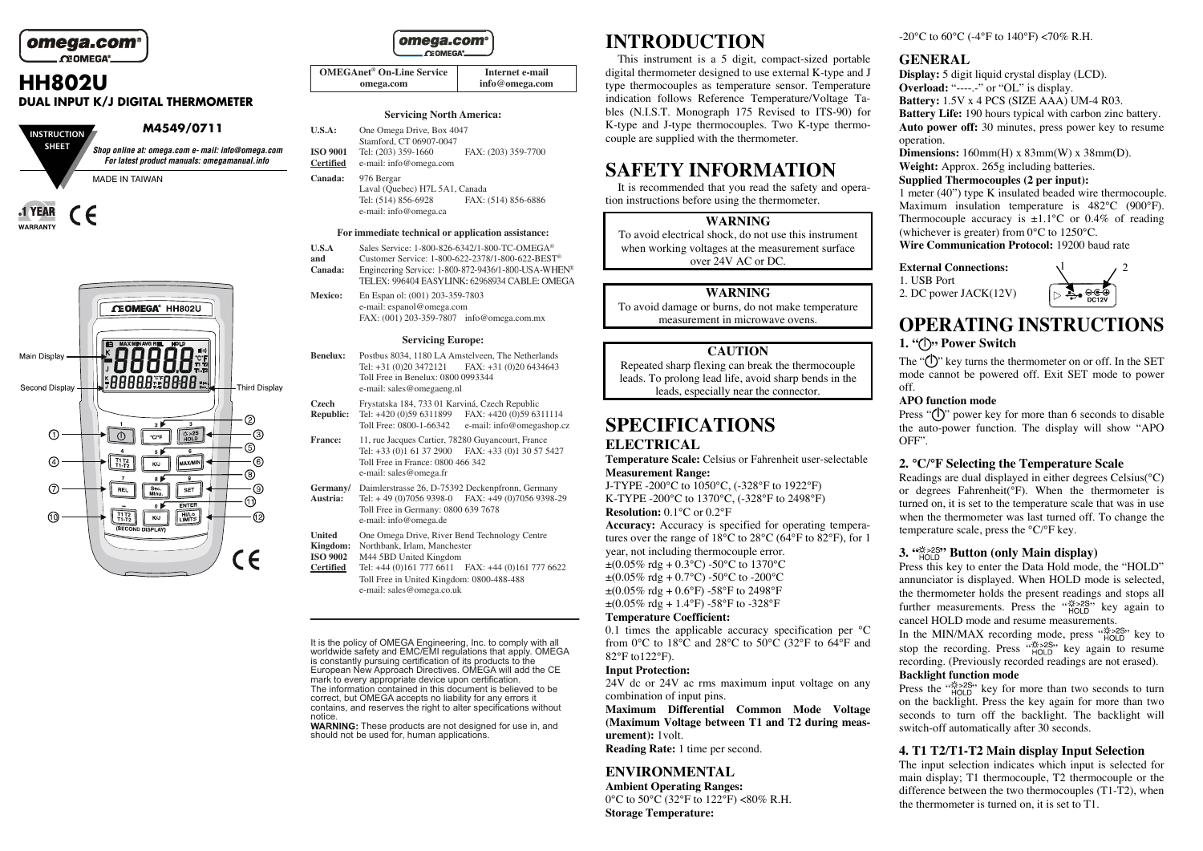

**WARRANTY** 

# **HH802U DUAL INPUT K/J DIGITAL THERMOMETER**

| <b>INSTRUCTION</b> | M4549/0711                                                                                        |
|--------------------|---------------------------------------------------------------------------------------------------|
| <b>SHEET</b>       | Shop online at: omega.com e- mail: info@omega.com<br>For latest product manuals: omegamanual.info |
|                    | <b>MADE IN TAIWAN</b>                                                                             |
| 1 YEAR             |                                                                                                   |



| omega.com®     |  |
|----------------|--|
| <b>CEOMEGA</b> |  |

| <b>OMEGAnet® On-Line Service</b> | Internet e-mail |
|----------------------------------|-----------------|
| omega.com                        | info@omega.com  |

#### **Servicing North America:**

| U.S.A:                              | One Omega Drive, Box 4047<br>Stamford, CT 06907-0047                                       |                     |
|-------------------------------------|--------------------------------------------------------------------------------------------|---------------------|
| <b>ISO 9001</b><br><b>Certified</b> | Tel: (203) 359-1660<br>e-mail: info@omega.com                                              | FAX: (203) 359-7700 |
| Canada:                             | 976 Bergar<br>Laval (Quebec) H7L 5A1, Canada<br>Tal: (514) 856 6028<br>EAV. (514) 856 6886 |                     |

Tel: (514) 856-6928 FAX: (514) 856-6886 e-mail: info@omega.ca

#### **For immediate technical or application assistance:**

- **U.S.A** Sales Service: 1-800-826-6342/1-800-TC-OMEGA® and Customer Service: 1-800-622-2378/1-800-622-BEST
- **Customer Service: 1-800-622-2378/1-800-622-BEST<sup>®</sup><br>
Engineering Service: 1-800-872-9436/1-800-USA-WHEN<sup>®</sup> Canada:** TELEX: 996404 EASYLINK: 62968934 CABLE: OMEGA
- **Mexico:** En Espan ol: (001) 203-359-7803 e-mail: espanol@omega.com FAX: (001) 203-359-7807 info@omega.com.mx

#### **Servicing Europe:**

- **Benelux:** Postbus 8034, 1180 LA Amstelveen, The Netherlands Tel: +31 (0)20 3472121 FAX: +31 (0)20 6434643 Toll Free in Benelux: 0800 0993344 e-mail: sales@omegaeng.nl
- **Czech** Frystatska 184, 733 01 Karviná, Czech Republic
- **Republic:** Tel: +420 (0)59 6311899 FAX: +420 (0)59 6311114 Toll Free: 0800-1-66342 e-mail: info@omegashop.cz
- **France:** 11, rue Jacques Cartier, 78280 Guyancourt, France Tel: +33 (0)1 61 37 2900 FAX: +33 (0)1 30 57 5427 Toll Free in France: 0800 466 342 e-mail: sales@omega.fr
- **Germany/** Daimlerstrasse 26, D-75392 Deckenpfronn, Germany<br>**Austria:** Tel: +49 (0)7056 9398-0 FAX: +49 (0)7056 9398-**Austria:** Tel: + 49 (0)7056 9398-0 FAX: +49 (0)7056 9398-29 Toll Free in Germany: 0800 639 7678 e-mail: info@omega.de
	-
- United One Omega Drive, River Bend Technology Centre<br>**Kingdom:** Northbank, Irlam, Manchester **Kingdom:** Northbank, Irlam, Manchester
- **ISO 9002** M44 5BD United Kingdom
- **Certified** Tel: +44 (0)161 777 6611 FAX: +44 (0)161 777 6622 Toll Free in United Kingdom: 0800-488-488 e-mail: sales@omega.co.uk

It is the policy of OMEGA Engineering, Inc. to comply with all worldwide safety and EMC/EMI regulations that apply. OMEGA is constantly pursuing certification of its products to the European New Approach Directives. OMEGA will add the CE mark to every appropriate device upon certification. The information contained in this document is believed to be correct, but OMEGA accepts no liability for any errors it contains, and reserves the right to alter specifications without notice.

**WARNING:** These products are not designed for use in, and should not be used for, human applications.

# **INTRODUCTION**

This instrument is a 5 digit, compact-sized portable digital thermometer designed to use external K-type and J type thermocouples as temperature sensor. Temperature indication follows Reference Temperature/Voltage Tables (N.I.S.T. Monograph 175 Revised to ITS-90) for K-type and J-type thermocouples. Two K-type thermocouple are supplied with the thermometer.

# **SAFETY INFORMATION**

It is recommended that you read the safety and operation instructions before using the thermometer.

#### **WARNING**

To avoid electrical shock, do not use this instrument when working voltages at the measurement surface over 24V AC or DC.

#### **WARNING**

To avoid damage or burns, do not make temperature measurement in microwave ovens.

#### **CAUTION**

Repeated sharp flexing can break the thermocouple leads. To prolong lead life, avoid sharp bends in the leads, especially near the connector.

# **SPECIFICATIONS**

### **ELECTRICAL**

**Temperature Scale:** Celsius or Fahrenheit user-selectable **Measurement Range:** 

J-TYPE -200°C to 1050°C, (-328°F to 1922°F) K-TYPE -200°C to 1370°C, (-328°F to 2498°F) **Resolution:** 0.1°C or 0.2°F

**Accuracy:** Accuracy is specified for operating temperatures over the range of 18°C to 28°C (64°F to 82°F), for 1 year, not including thermocouple error.  $\pm (0.05\% \text{ rdg} + 0.3\degree \text{C}) - 50\degree \text{C}$  to 1370°C  $\pm (0.05\% \text{ rd} \sigma + 0.7\degree \text{C}) - 50\degree \text{C}$  to  $-200\degree \text{C}$  $\pm (0.05\% \text{ rdg} + 0.6\degree \text{F})$  -58°F to 2498°F  $\pm$ (0.05% rdg + 1.4°F) -58°F to -328°F

#### **Temperature Coefficient:**

0.1 times the applicable accuracy specification per °C from 0°C to 18°C and 28°C to 50°C (32°F to 64°F and 82°F to122°F).

#### **Input Protection:**

 $24V$  dc or  $24V$  ac rms maximum input voltage on any combination of input pins.

**Maximum Differential Common Mode Voltage (Maximum Voltage between T1 and T2 during measurement):** 1volt.

**Reading Rate:** 1 time per second.

## **ENVIRONMENTAL**

**Ambient Operating Ranges:**  0°C to 50°C (32°F to 122°F) <80% R.H. **Storage Temperature:** 

-20 $^{\circ}$ C to 60 $^{\circ}$ C (-4 $^{\circ}$ F to 140 $^{\circ}$ F) <70% R.H.

### **GENERAL**

**Display:** 5 digit liquid crystal display (LCD). **Overload:** "------" or "OL" is display. **Battery:** 1.5V x 4 PCS (SIZE AAA) UM-4 R03. **Battery Life:** 190 hours typical with carbon zinc battery. **Auto power off:** 30 minutes, press power key to resume operation.

**Dimensions:** 160mm(H) x 83mm(W) x 38mm(D). **Weight:** Approx. 265g including batteries. **Supplied Thermocouples (2 per input):** 1 meter (40") type K insulated beaded wire thermocouple.

Maximum insulation temperature is 482°C (900°F). Thermocouple accuracy is  $\pm 1.1^{\circ}$ C or 0.4% of reading (whichever is greater) from 0°C to 1250°C.

**Wire Communication Protocol:** 19200 baud rate

#### **External Connections:**  1. USB Port 2. DC power JACK(12V)



# **OPERATING INSTRUCTIONS 1. " " Power Switch**

The " $(\cdot)$ " key turns the thermometer on or off. In the SET mode cannot be powered off. Exit SET mode to power off.

### **APO function mode**

Press " $($ |)" power key for more than 6 seconds to disable the auto-power function. The display will show "APO OFF".

#### **2. °C/°F Selecting the Temperature Scale**

Readings are dual displayed in either degrees Celsius(°C) or degrees Fahrenheit(°F). When the thermometer is turned on, it is set to the temperature scale that was in use when the thermometer was last turned off. To change the temperature scale, press the °C/°F key.

# **3. " " Button (only Main display)**

Press this key to enter the Data Hold mode, the "HOLD" annunciator is displayed. When HOLD mode is selected, the thermometer holds the present readings and stops all further measurements. Press the " $\frac{1}{HOLD}$ " key again to cancel HOLD mode and resume measurements.

In the MIN/MAX recording mode, press  $m_{HOLD}^{\text{max}}$  key to stop the recording. Press " $_{HOLD}^{1,2,2,3}$ " key again to resume recording. (Previously recorded readings are not erased).

### **Backlight function mode**

Press the " $_{HOLD}^{45,25,35}$ " key for more than two seconds to turn on the backlight. Press the key again for more than two seconds to turn off the backlight. The backlight will switch-off automatically after 30 seconds.

# **4. T1 T2/T1-T2 Main display Input Selection**

The input selection indicates which input is selected for main display; T1 thermocouple, T2 thermocouple or the difference between the two thermocouples (T1-T2), when the thermometer is turned on, it is set to T1.